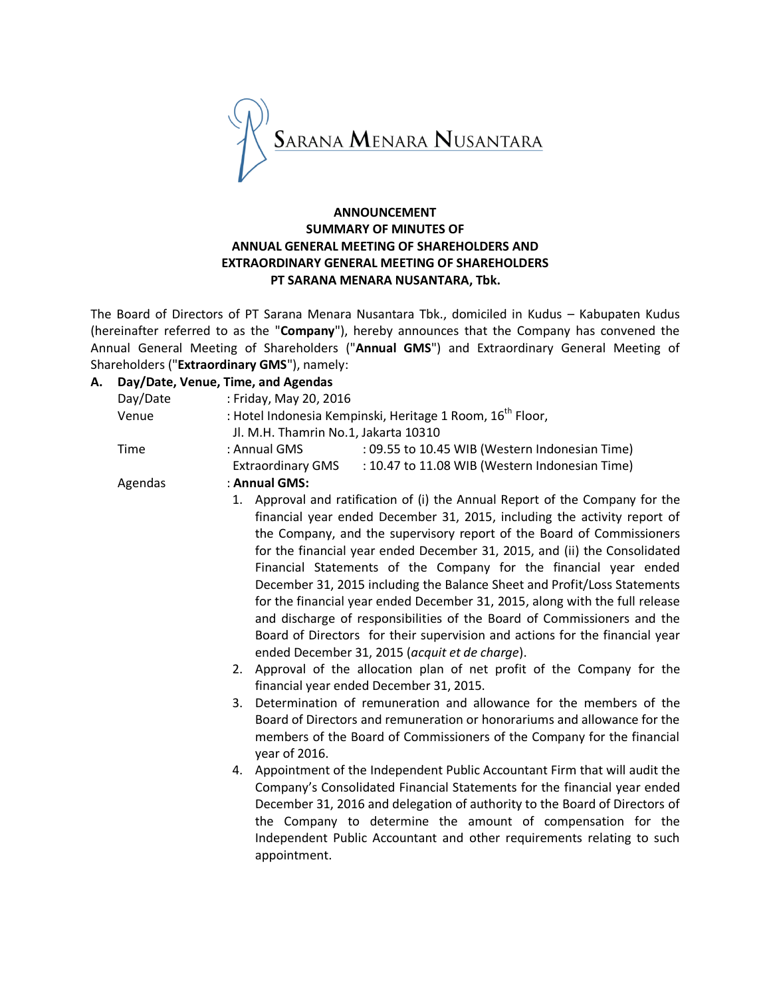

# **ANNOUNCEMENT SUMMARY OF MINUTES OF ANNUAL GENERAL MEETING OF SHAREHOLDERS AND EXTRAORDINARY GENERAL MEETING OF SHAREHOLDERS PT SARANA MENARA NUSANTARA, Tbk.**

The Board of Directors of PT Sarana Menara Nusantara Tbk., domiciled in Kudus – Kabupaten Kudus (hereinafter referred to as the "**Company**"), hereby announces that the Company has convened the Annual General Meeting of Shareholders ("**Annual GMS**") and Extraordinary General Meeting of Shareholders ("**Extraordinary GMS**"), namely:

# **A. Day/Date, Venue, Time, and Agendas**

| Day/Date | : Friday, May 20, 2016                                                                                                                                                                                                                                                                                                                                                                                                                                                                                                                                                                                                                                                                                                                                                                                                                                                                                                                                         |  |  |
|----------|----------------------------------------------------------------------------------------------------------------------------------------------------------------------------------------------------------------------------------------------------------------------------------------------------------------------------------------------------------------------------------------------------------------------------------------------------------------------------------------------------------------------------------------------------------------------------------------------------------------------------------------------------------------------------------------------------------------------------------------------------------------------------------------------------------------------------------------------------------------------------------------------------------------------------------------------------------------|--|--|
| Venue    | : Hotel Indonesia Kempinski, Heritage 1 Room, 16 <sup>th</sup> Floor,<br>Jl. M.H. Thamrin No.1, Jakarta 10310                                                                                                                                                                                                                                                                                                                                                                                                                                                                                                                                                                                                                                                                                                                                                                                                                                                  |  |  |
| Time     | : Annual GMS<br>: 09.55 to 10.45 WIB (Western Indonesian Time)<br>: 10.47 to 11.08 WIB (Western Indonesian Time)<br><b>Extraordinary GMS</b>                                                                                                                                                                                                                                                                                                                                                                                                                                                                                                                                                                                                                                                                                                                                                                                                                   |  |  |
| Agendas  | : Annual GMS:                                                                                                                                                                                                                                                                                                                                                                                                                                                                                                                                                                                                                                                                                                                                                                                                                                                                                                                                                  |  |  |
|          | 1. Approval and ratification of (i) the Annual Report of the Company for the<br>financial year ended December 31, 2015, including the activity report of<br>the Company, and the supervisory report of the Board of Commissioners<br>for the financial year ended December 31, 2015, and (ii) the Consolidated<br>Financial Statements of the Company for the financial year ended<br>December 31, 2015 including the Balance Sheet and Profit/Loss Statements<br>for the financial year ended December 31, 2015, along with the full release<br>and discharge of responsibilities of the Board of Commissioners and the<br>Board of Directors for their supervision and actions for the financial year<br>ended December 31, 2015 (acquit et de charge).<br>Approval of the allocation plan of net profit of the Company for the<br>2.<br>financial year ended December 31, 2015.<br>Determination of remuneration and allowance for the members of the<br>3. |  |  |
|          | Board of Directors and remuneration or honorariums and allowance for the<br>members of the Board of Commissioners of the Company for the financial<br>year of 2016.                                                                                                                                                                                                                                                                                                                                                                                                                                                                                                                                                                                                                                                                                                                                                                                            |  |  |
|          | 4. Appointment of the Independent Public Accountant Firm that will audit the<br>Company's Consolidated Financial Statements for the financial year ended<br>December 31, 2016 and delegation of authority to the Board of Directors of<br>the Company to determine the amount of compensation for the<br>Independent Public Accountant and other requirements relating to such<br>appointment.                                                                                                                                                                                                                                                                                                                                                                                                                                                                                                                                                                 |  |  |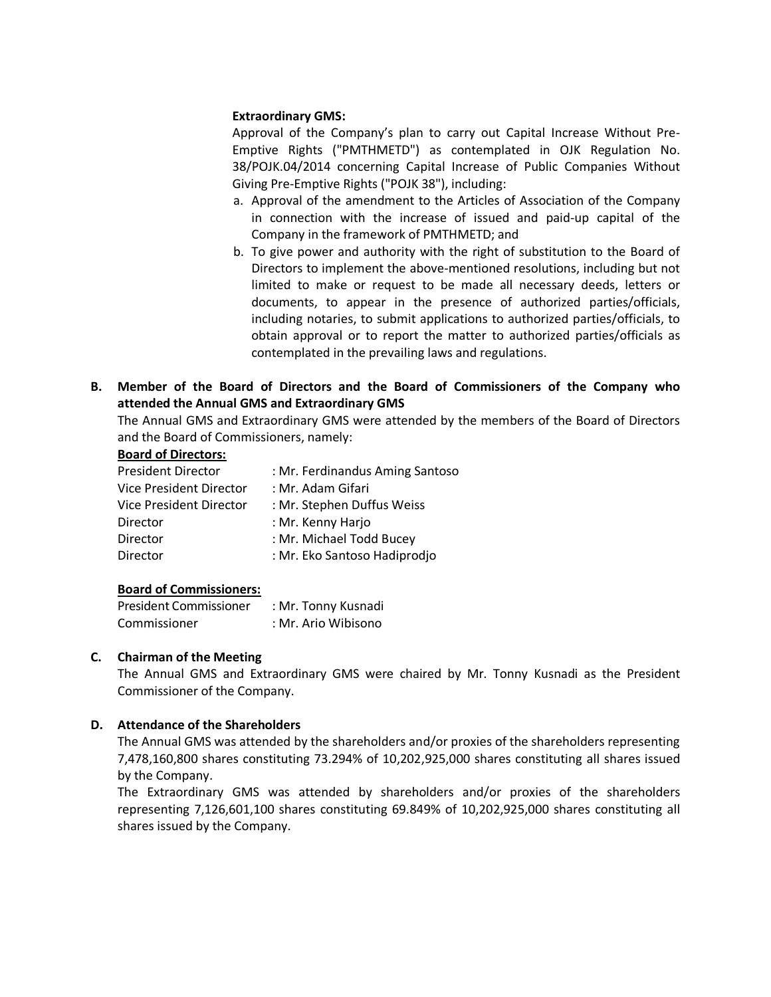#### **Extraordinary GMS:**

Approval of the Company's plan to carry out Capital Increase Without Pre-Emptive Rights ("PMTHMETD") as contemplated in OJK Regulation No. 38/POJK.04/2014 concerning Capital Increase of Public Companies Without Giving Pre-Emptive Rights ("POJK 38"), including:

- a. Approval of the amendment to the Articles of Association of the Company in connection with the increase of issued and paid-up capital of the Company in the framework of PMTHMETD; and
- b. To give power and authority with the right of substitution to the Board of Directors to implement the above-mentioned resolutions, including but not limited to make or request to be made all necessary deeds, letters or documents, to appear in the presence of authorized parties/officials, including notaries, to submit applications to authorized parties/officials, to obtain approval or to report the matter to authorized parties/officials as contemplated in the prevailing laws and regulations.
- **B. Member of the Board of Directors and the Board of Commissioners of the Company who attended the Annual GMS and Extraordinary GMS**

The Annual GMS and Extraordinary GMS were attended by the members of the Board of Directors and the Board of Commissioners, namely:

# **Board of Directors:**

| <b>President Director</b> | : Mr. Ferdinandus Aming Santoso |
|---------------------------|---------------------------------|
| Vice President Director   | : Mr. Adam Gifari               |
| Vice President Director   | : Mr. Stephen Duffus Weiss      |
| Director                  | : Mr. Kenny Harjo               |
| Director                  | : Mr. Michael Todd Bucey        |
| <b>Director</b>           | : Mr. Eko Santoso Hadiprodjo    |

#### **Board of Commissioners:**

| <b>President Commissioner</b> | : Mr. Tonny Kusnadi |
|-------------------------------|---------------------|
| Commissioner                  | : Mr. Ario Wibisono |

## **C. Chairman of the Meeting**

The Annual GMS and Extraordinary GMS were chaired by Mr. Tonny Kusnadi as the President Commissioner of the Company.

## **D. Attendance of the Shareholders**

The Annual GMS was attended by the shareholders and/or proxies of the shareholders representing 7,478,160,800 shares constituting 73.294% of 10,202,925,000 shares constituting all shares issued by the Company.

The Extraordinary GMS was attended by shareholders and/or proxies of the shareholders representing 7,126,601,100 shares constituting 69.849% of 10,202,925,000 shares constituting all shares issued by the Company.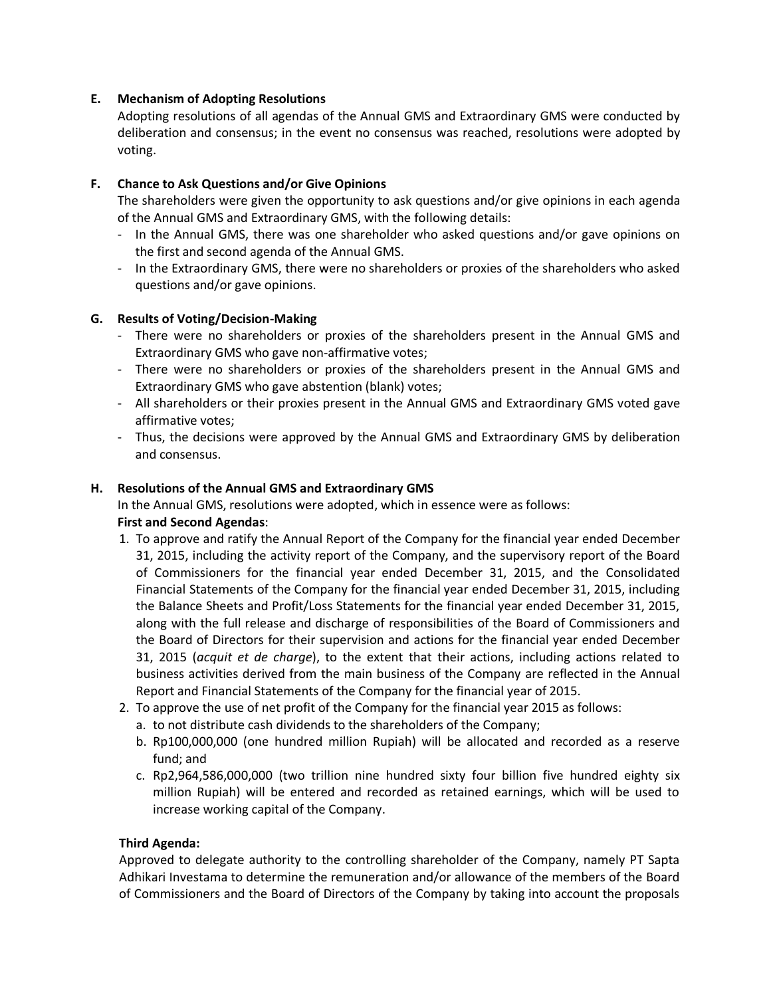# **E. Mechanism of Adopting Resolutions**

Adopting resolutions of all agendas of the Annual GMS and Extraordinary GMS were conducted by deliberation and consensus; in the event no consensus was reached, resolutions were adopted by voting.

# **F. Chance to Ask Questions and/or Give Opinions**

The shareholders were given the opportunity to ask questions and/or give opinions in each agenda of the Annual GMS and Extraordinary GMS, with the following details:

- In the Annual GMS, there was one shareholder who asked questions and/or gave opinions on the first and second agenda of the Annual GMS.
- In the Extraordinary GMS, there were no shareholders or proxies of the shareholders who asked questions and/or gave opinions.

## **G. Results of Voting/Decision-Making**

- There were no shareholders or proxies of the shareholders present in the Annual GMS and Extraordinary GMS who gave non-affirmative votes;
- There were no shareholders or proxies of the shareholders present in the Annual GMS and Extraordinary GMS who gave abstention (blank) votes;
- All shareholders or their proxies present in the Annual GMS and Extraordinary GMS voted gave affirmative votes;
- Thus, the decisions were approved by the Annual GMS and Extraordinary GMS by deliberation and consensus.

## **H. Resolutions of the Annual GMS and Extraordinary GMS**

In the Annual GMS, resolutions were adopted, which in essence were as follows: **First and Second Agendas**:

- 1. To approve and ratify the Annual Report of the Company for the financial year ended December 31, 2015, including the activity report of the Company, and the supervisory report of the Board of Commissioners for the financial year ended December 31, 2015, and the Consolidated Financial Statements of the Company for the financial year ended December 31, 2015, including the Balance Sheets and Profit/Loss Statements for the financial year ended December 31, 2015, along with the full release and discharge of responsibilities of the Board of Commissioners and the Board of Directors for their supervision and actions for the financial year ended December 31, 2015 (*acquit et de charge*), to the extent that their actions, including actions related to business activities derived from the main business of the Company are reflected in the Annual Report and Financial Statements of the Company for the financial year of 2015.
- 2. To approve the use of net profit of the Company for the financial year 2015 as follows:
	- a. to not distribute cash dividends to the shareholders of the Company;
	- b. Rp100,000,000 (one hundred million Rupiah) will be allocated and recorded as a reserve fund; and
	- c. Rp2,964,586,000,000 (two trillion nine hundred sixty four billion five hundred eighty six million Rupiah) will be entered and recorded as retained earnings, which will be used to increase working capital of the Company.

## **Third Agenda:**

Approved to delegate authority to the controlling shareholder of the Company, namely PT Sapta Adhikari Investama to determine the remuneration and/or allowance of the members of the Board of Commissioners and the Board of Directors of the Company by taking into account the proposals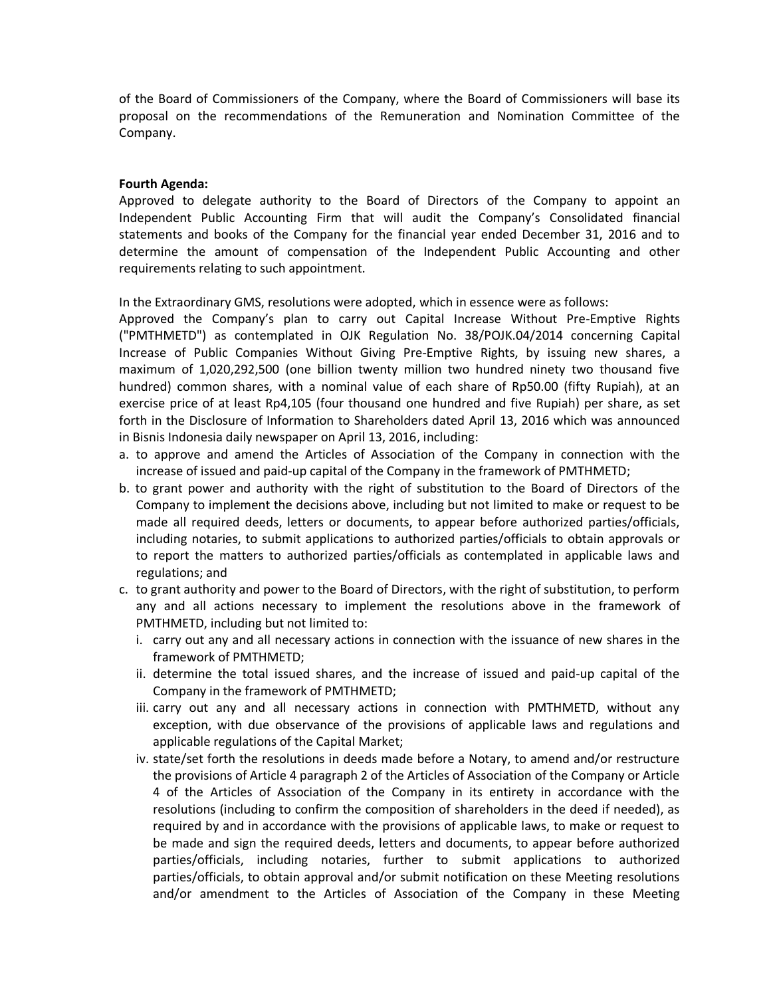of the Board of Commissioners of the Company, where the Board of Commissioners will base its proposal on the recommendations of the Remuneration and Nomination Committee of the Company.

#### **Fourth Agenda:**

Approved to delegate authority to the Board of Directors of the Company to appoint an Independent Public Accounting Firm that will audit the Company's Consolidated financial statements and books of the Company for the financial year ended December 31, 2016 and to determine the amount of compensation of the Independent Public Accounting and other requirements relating to such appointment.

In the Extraordinary GMS, resolutions were adopted, which in essence were as follows:

Approved the Company's plan to carry out Capital Increase Without Pre-Emptive Rights ("PMTHMETD") as contemplated in OJK Regulation No. 38/POJK.04/2014 concerning Capital Increase of Public Companies Without Giving Pre-Emptive Rights, by issuing new shares, a maximum of 1,020,292,500 (one billion twenty million two hundred ninety two thousand five hundred) common shares, with a nominal value of each share of Rp50.00 (fifty Rupiah), at an exercise price of at least Rp4,105 (four thousand one hundred and five Rupiah) per share, as set forth in the Disclosure of Information to Shareholders dated April 13, 2016 which was announced in Bisnis Indonesia daily newspaper on April 13, 2016, including:

- a. to approve and amend the Articles of Association of the Company in connection with the increase of issued and paid-up capital of the Company in the framework of PMTHMETD;
- b. to grant power and authority with the right of substitution to the Board of Directors of the Company to implement the decisions above, including but not limited to make or request to be made all required deeds, letters or documents, to appear before authorized parties/officials, including notaries, to submit applications to authorized parties/officials to obtain approvals or to report the matters to authorized parties/officials as contemplated in applicable laws and regulations; and
- c. to grant authority and power to the Board of Directors, with the right of substitution, to perform any and all actions necessary to implement the resolutions above in the framework of PMTHMETD, including but not limited to:
	- i. carry out any and all necessary actions in connection with the issuance of new shares in the framework of PMTHMETD;
	- ii. determine the total issued shares, and the increase of issued and paid-up capital of the Company in the framework of PMTHMETD;
	- iii. carry out any and all necessary actions in connection with PMTHMETD, without any exception, with due observance of the provisions of applicable laws and regulations and applicable regulations of the Capital Market;
	- iv. state/set forth the resolutions in deeds made before a Notary, to amend and/or restructure the provisions of Article 4 paragraph 2 of the Articles of Association of the Company or Article 4 of the Articles of Association of the Company in its entirety in accordance with the resolutions (including to confirm the composition of shareholders in the deed if needed), as required by and in accordance with the provisions of applicable laws, to make or request to be made and sign the required deeds, letters and documents, to appear before authorized parties/officials, including notaries, further to submit applications to authorized parties/officials, to obtain approval and/or submit notification on these Meeting resolutions and/or amendment to the Articles of Association of the Company in these Meeting